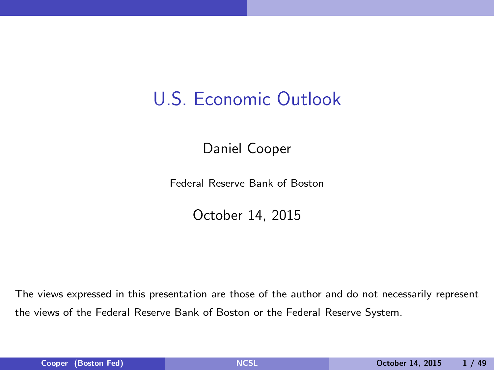## U.S. Economic Outlook

Daniel Cooper

Federal Reserve Bank of Boston

<span id="page-0-0"></span>October 14, 2015

The views expressed in this presentation are those of the author and do not necessarily represent the views of the Federal Reserve Bank of Boston or the Federal Reserve System.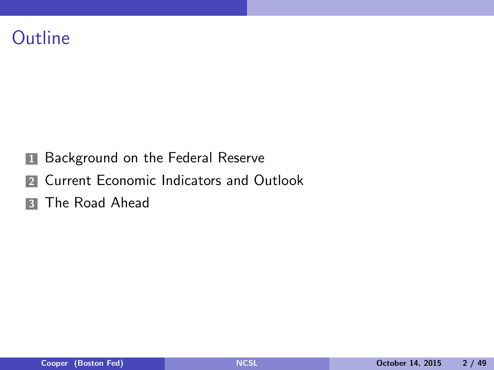#### **Outline**

- **1** Background on the Federal Reserve
- **2** Current Economic Indicators and Outlook
- **3** The Road Ahead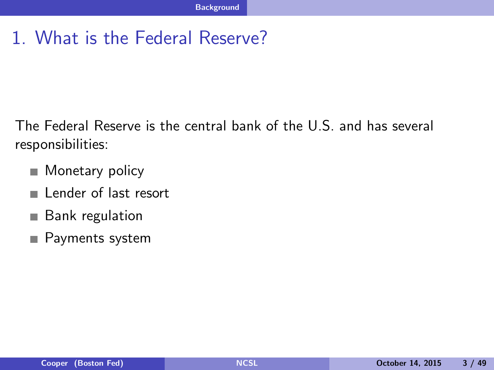#### 1. What is the Federal Reserve?

The Federal Reserve is the central bank of the U.S. and has several responsibilities:

- Monetary policy  $\mathcal{L}_{\mathcal{A}}$
- Lender of last resort **COL**
- Bank regulation **COL**
- <span id="page-2-0"></span>Payments system **The State**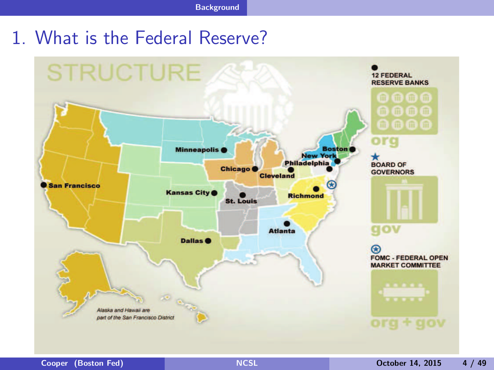#### 1. What is the Federal Reserve?

<span id="page-3-0"></span>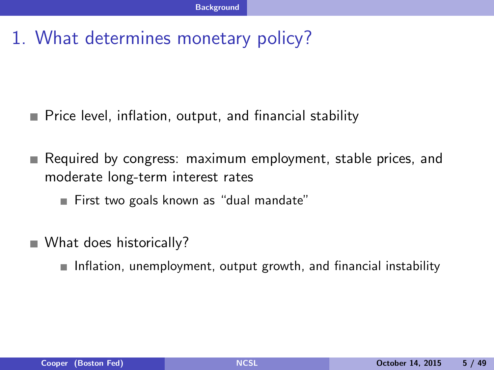#### 1. What determines monetary policy?

- Price level, inflation, output, and financial stability
- Required by congress: maximum employment, stable prices, and ш moderate long-term interest rates
	- First two goals known as "dual mandate"
- <span id="page-4-0"></span>What does historically?
	- $\blacksquare$  Inflation, unemployment, output growth, and financial instability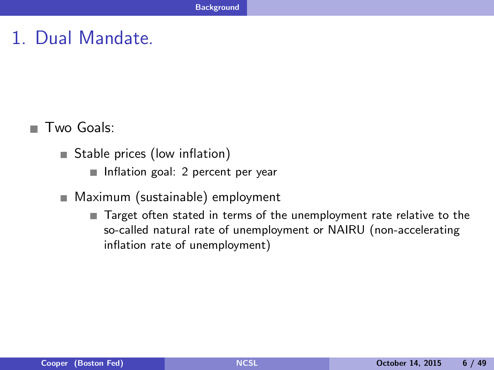#### 1. Dual Mandate.

■ Two Goals:

- Stable prices (low inflation)
	- Inflation goal: 2 percent per year
- <span id="page-5-0"></span>■ Maximum (sustainable) employment
	- Target often stated in terms of the unemployment rate relative to the so-called natural rate of unemployment or NAIRU (non-accelerating inflation rate of unemployment)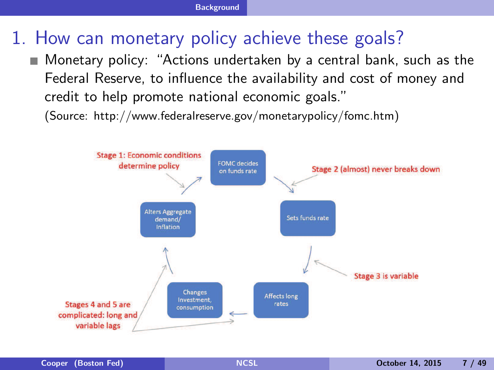## 1. How can monetary policy achieve these goals?

Monetary policy: "Actions undertaken by a central bank, such as the Federal Reserve, to influence the availability and cost of money and credit to help promote national economic goals."

(Source: http://www.federalreserve.gov/monetarypolicy/fomc.htm)

<span id="page-6-0"></span>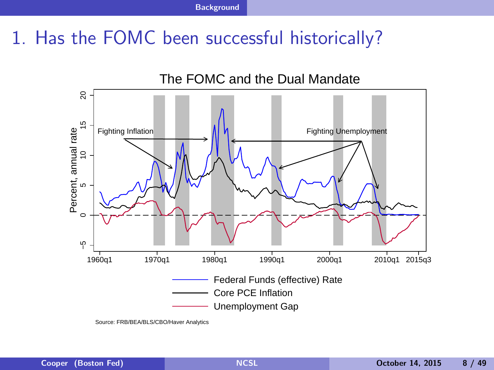#### 1. Has the FOMC been successful historically?



<span id="page-7-0"></span>Source: FRB/BEA/BLS/CBO/Haver Analytics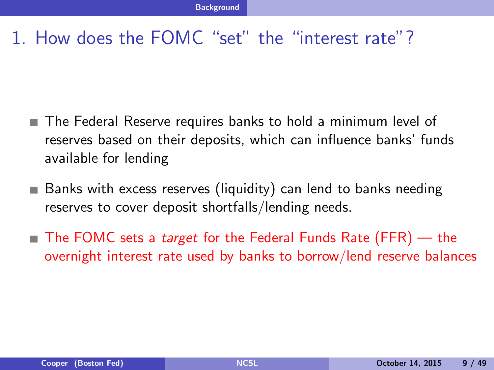#### 1. How does the FOMC "set" the "interest rate"?

- The Federal Reserve requires banks to hold a minimum level of reserves based on their deposits, which can influence banks' funds available for lending
- Banks with excess reserves (liquidity) can lend to banks needing reserves to cover deposit shortfalls/lending needs.
- <span id="page-8-0"></span>■ The FOMC sets a *target* for the Federal Funds Rate (FFR) — the overnight interest rate used by banks to borrow/lend reserve balances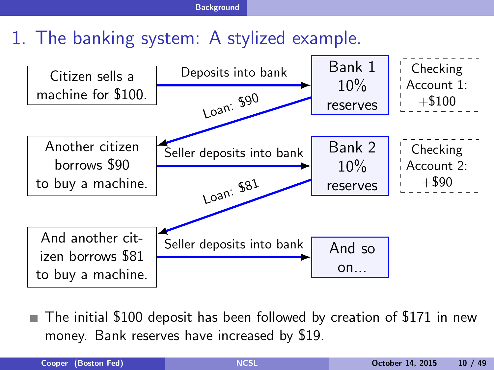### 1. The banking system: A stylized example.



<span id="page-9-0"></span>The initial \$100 deposit has been followed by creation of \$171 in new money. Bank reserves have increased by \$19.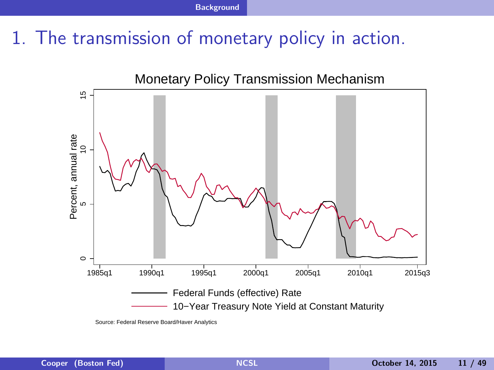#### 1. The transmission of monetary policy in action.



<span id="page-10-0"></span>Source: Federal Reserve Board/Haver Analytics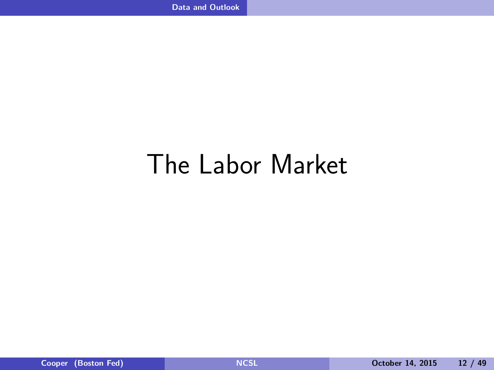# <span id="page-11-0"></span>The Labor Market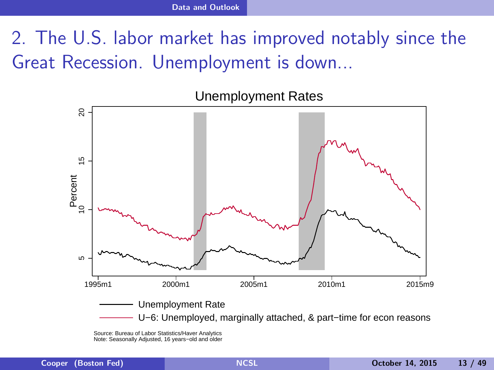## 2. The U.S. labor market has improved notably since the Great Recession. Unemployment is down...



Unemployment Rates

<span id="page-12-0"></span>Source: Bureau of Labor Statistics/Haver Analytics Note: Seasonally Adjusted, 16 years−old and older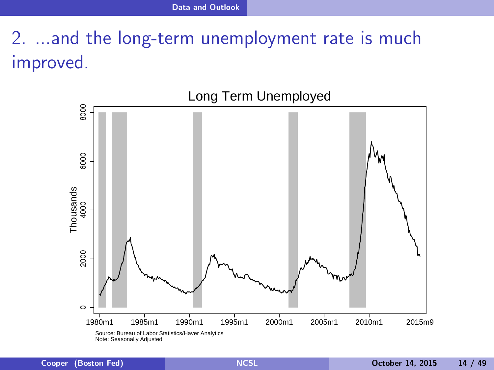# 2. ...and the long-term unemployment rate is much improved.

<span id="page-13-0"></span>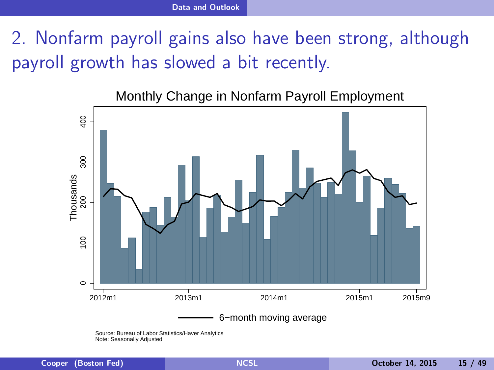## 2. Nonfarm payroll gains also have been strong, although payroll growth has slowed a bit recently.

Monthly Change in Nonfarm Payroll Employment



<span id="page-14-0"></span>Source: Bureau of Labor Statistics/Haver Analytics Note: Seasonally Adjusted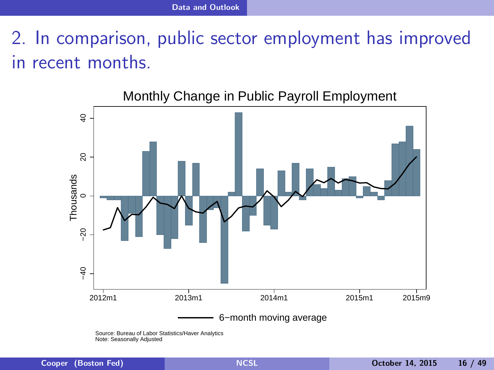2. In comparison, public sector employment has improved in recent months.



Monthly Change in Public Payroll Employment

<span id="page-15-0"></span>Source: Bureau of Labor Statistics/Haver Analytics Note: Seasonally Adjusted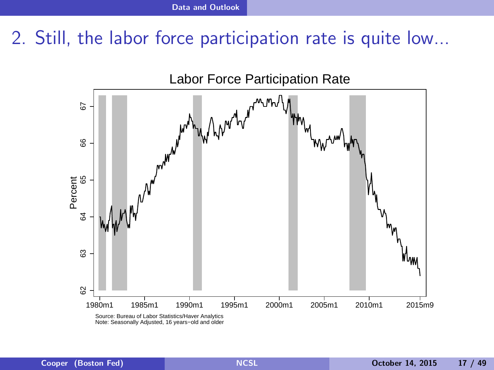#### 2. Still, the labor force participation rate is quite low...

<span id="page-16-0"></span>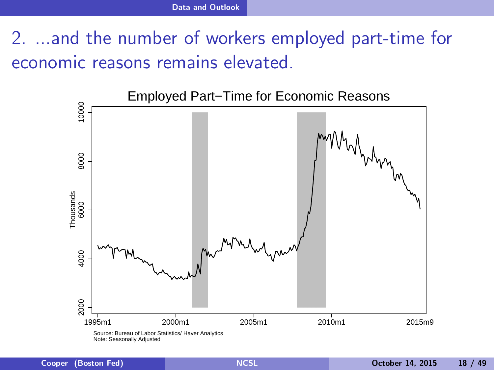2. ...and the number of workers employed part-time for economic reasons remains elevated.

<span id="page-17-0"></span>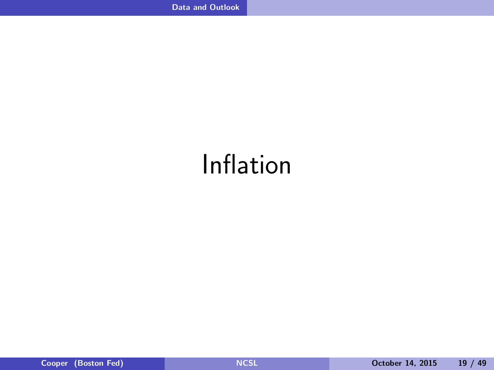# <span id="page-18-0"></span>Inflation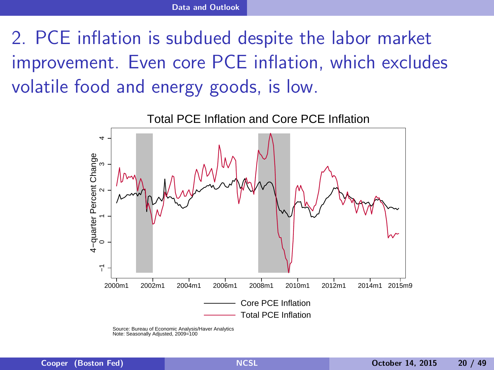# 2. PCE inflation is subdued despite the labor market improvement. Even core PCE inflation, which excludes volatile food and energy goods, is low.



<span id="page-19-0"></span>Source: Bureau of Economic Analysis/Haver Analytics Note: Seasonally Adjusted, 2009=100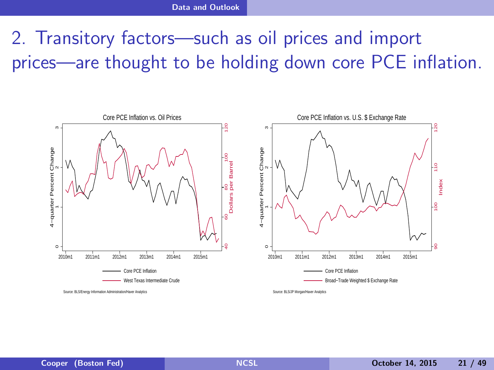# 2. Transitory factors—such as oil prices and import prices—are thought to be holding down core PCE inflation.

<span id="page-20-0"></span>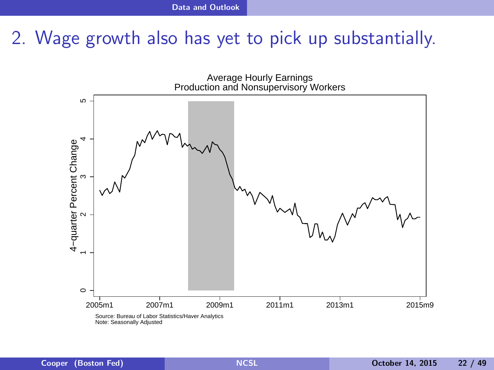#### 2. Wage growth also has yet to pick up substantially.

<span id="page-21-0"></span>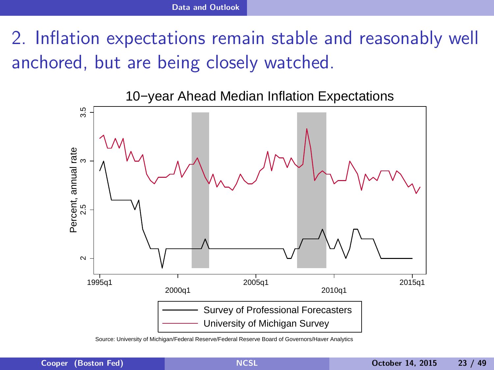2. Inflation expectations remain stable and reasonably well anchored, but are being closely watched.



<span id="page-22-0"></span>Source: University of Michigan/Federal Reserve/Federal Reserve Board of Governors/Haver Analytics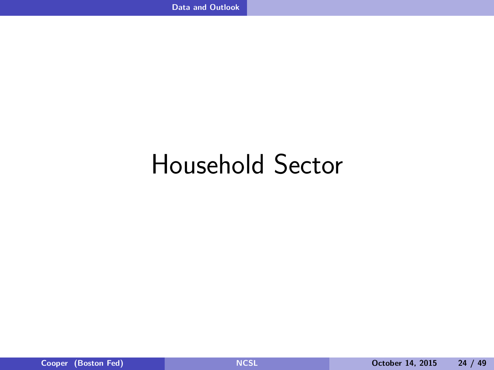# <span id="page-23-0"></span>Household Sector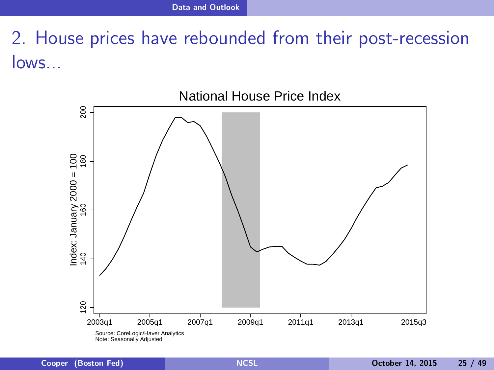# 2. House prices have rebounded from their post-recession lows...

<span id="page-24-0"></span>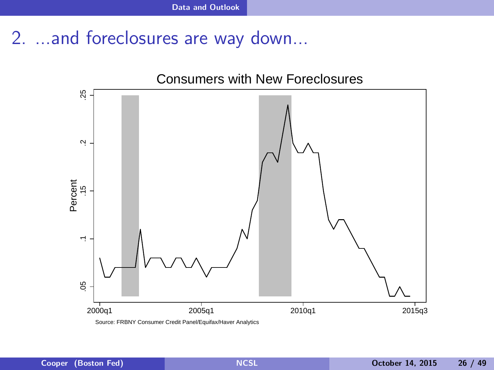#### 2. ...and foreclosures are way down...

<span id="page-25-0"></span>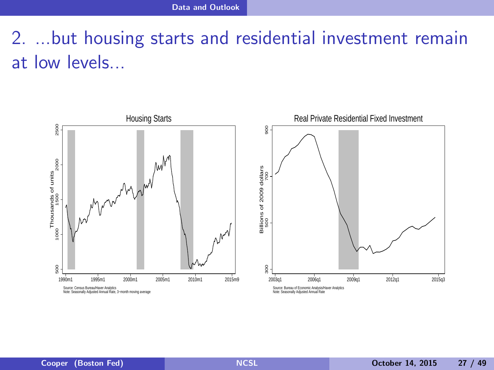# 2. ...but housing starts and residential investment remain at low levels...

<span id="page-26-0"></span>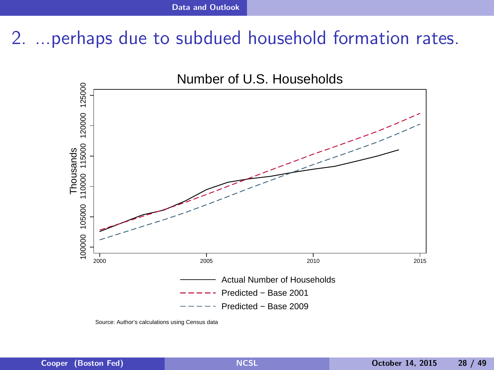#### 2. ...perhaps due to subdued household formation rates.



<span id="page-27-0"></span>Source: Author's calculations using Census data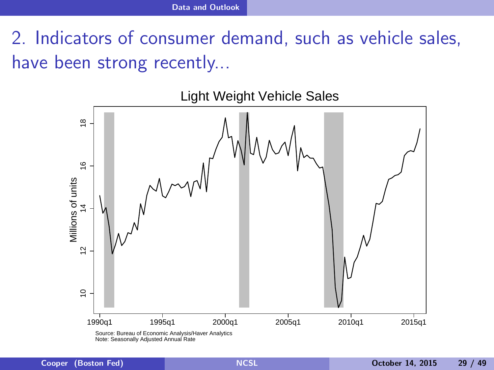2. Indicators of consumer demand, such as vehicle sales, have been strong recently...



<span id="page-28-0"></span>Light Weight Vehicle Sales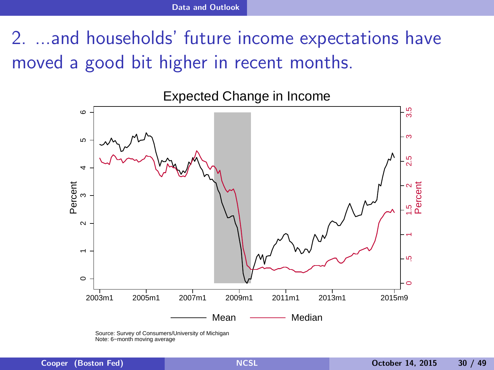2. ...and households' future income expectations have moved a good bit higher in recent months.



<span id="page-29-0"></span>Source: Survey of Consumers/University of Michigan Note: 6−month moving average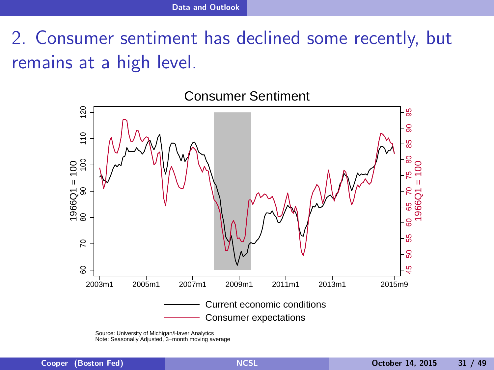2. Consumer sentiment has declined some recently, but remains at a high level.



Consumer Sentiment

<span id="page-30-0"></span>Source: University of Michigan/Haver Analytics Note: Seasonally Adjusted, 3−month moving average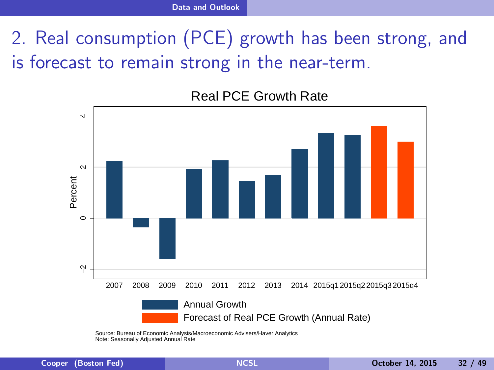# 2. Real consumption (PCE) growth has been strong, and is forecast to remain strong in the near-term.



Real PCE Growth Rate

<span id="page-31-0"></span>Source: Bureau of Economic Analysis/Macroeconomic Advisers/Haver Analytics Note: Seasonally Adjusted Annual Rate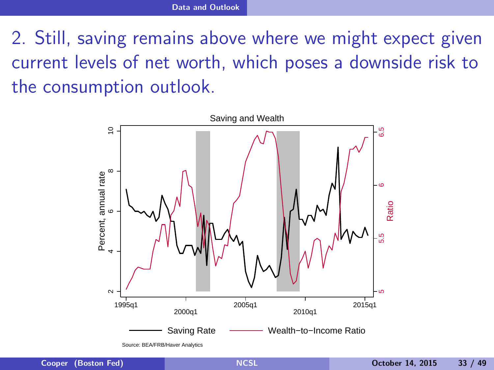2. Still, saving remains above where we might expect given current levels of net worth, which poses a downside risk to the consumption outlook.



<span id="page-32-0"></span>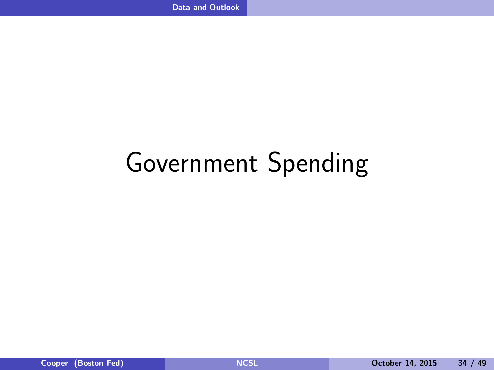# <span id="page-33-0"></span>Government Spending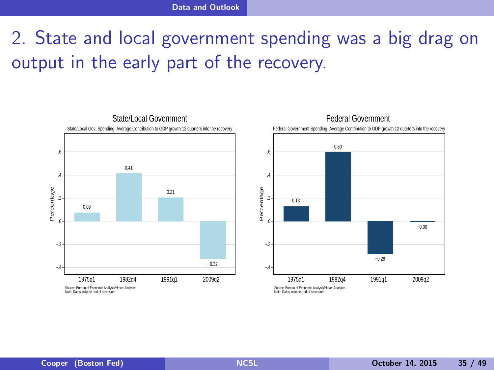# 2. State and local government spending was a big drag on output in the early part of the recovery.

<span id="page-34-0"></span>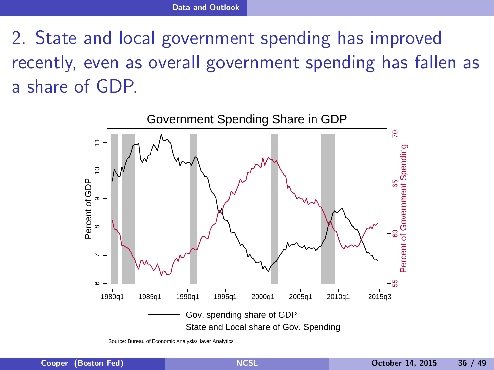2. State and local government spending has improved recently, even as overall government spending has fallen as a share of GDP.



<span id="page-35-0"></span>Source: Bureau of Economic Analysis/Haver Analytics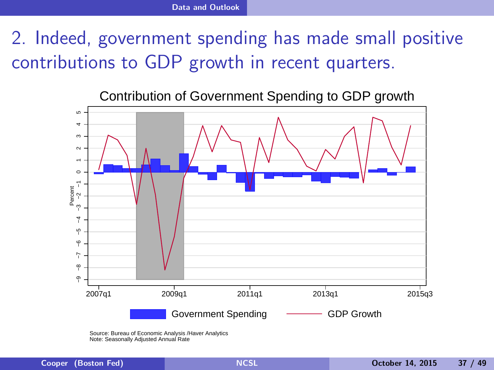2. Indeed, government spending has made small positive contributions to GDP growth in recent quarters.





<span id="page-36-0"></span>Source: Bureau of Economic Analysis /Haver Analytics Note: Seasonally Adjusted Annual Rate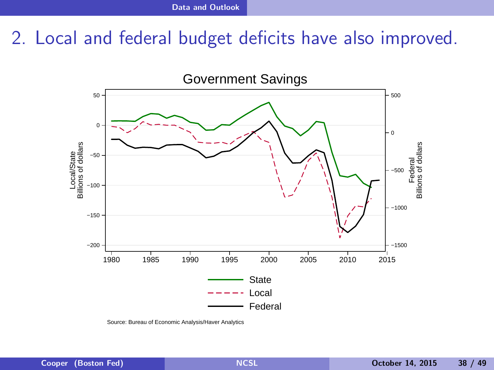#### 2. Local and federal budget deficits have also improved.



<span id="page-37-0"></span>Source: Bureau of Economic Analysis/Haver Analytics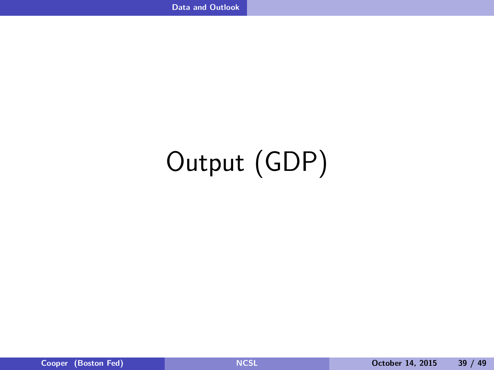# <span id="page-38-0"></span>Output (GDP)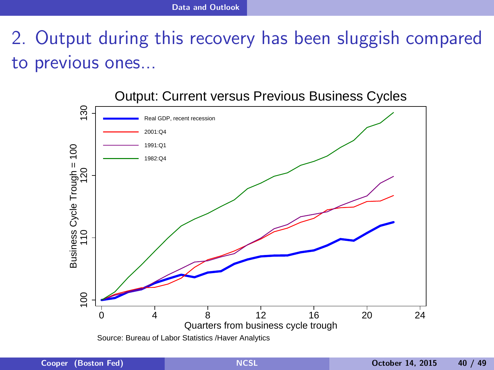## 2. Output during this recovery has been sluggish compared to previous ones...

<span id="page-39-0"></span>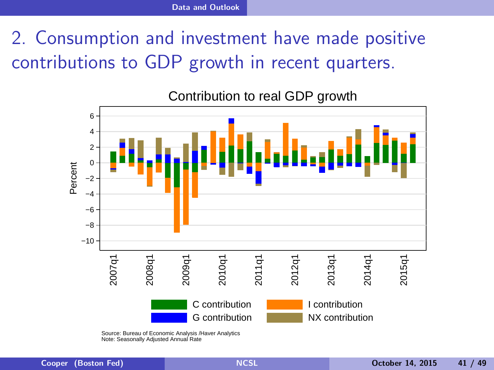# 2. Consumption and investment have made positive contributions to GDP growth in recent quarters.



Contribution to real GDP growth

<span id="page-40-0"></span>Source: Bureau of Economic Analysis /Haver Analytics Note: Seasonally Adjusted Annual Rate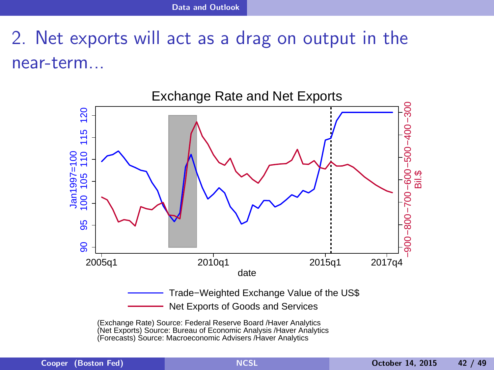# 2. Net exports will act as a drag on output in the near-term...



<span id="page-41-0"></span>(Exchange Rate) Source: Federal Reserve Board /Haver Analytics (Net Exports) Source: Bureau of Economic Analysis /Haver Analytics (Forecasts) Source: Macroeconomic Advisers /Haver Analytics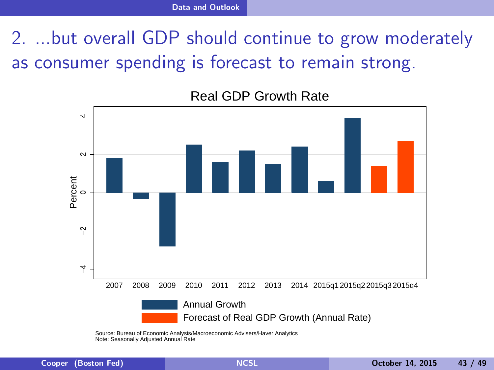2. ...but overall GDP should continue to grow moderately as consumer spending is forecast to remain strong.



#### Real GDP Growth Rate

<span id="page-42-0"></span>Source: Bureau of Economic Analysis/Macroeconomic Advisers/Haver Analytics Note: Seasonally Adjusted Annual Rate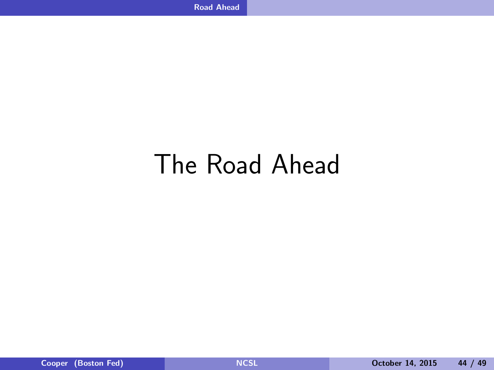# <span id="page-43-0"></span>The Road Ahead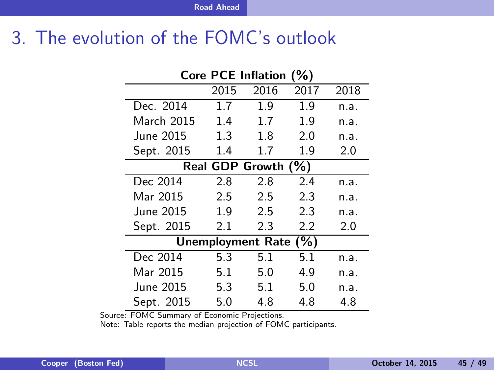#### 3. The evolution of the FOMC's outlook

| <b>Core PCE Inflation</b><br>(%) |      |      |      |      |
|----------------------------------|------|------|------|------|
|                                  | 2015 | 2016 | 2017 | 2018 |
| Dec. 2014                        | 1.7  | 1.9  | 1.9  | n.a. |
| March 2015                       | 1.4  | 1.7  | 1.9  | n.a. |
| June 2015                        | 1.3  | 1.8  | 2.0  | n.a. |
| Sept. 2015                       | 1.4  | 1.7  | 1.9  | 2.0  |
| Real GDP Growth (%)              |      |      |      |      |
| Dec 2014                         | 2.8  | 2.8  | 2.4  | n.a. |
| Mar 2015                         | 2.5  | 2.5  | 2.3  | n.a. |
| June 2015                        | 1.9  | 2.5  | 2.3  | n.a. |
| Sept. 2015                       | 2.1  | 2.3  | 2.2  | 2.0  |
| Unemployment Rate (%)            |      |      |      |      |
| Dec 2014                         | 5.3  | 5.1  | 5.1  | n.a. |
| Mar 2015                         | 5.1  | 5.0  | 4.9  | n.a. |
| June 2015.                       | 5.3  | 5.1  | 5.0  | n.a. |
| Sept. 2015                       | 5.0  | 4.8  | 4.8  | 4.8  |

Source: FOMC Summary of Economic Projections.

<span id="page-44-0"></span>Note: Table reports the median projection of FOMC participants.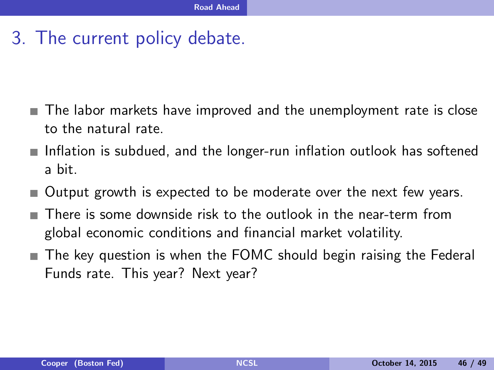#### 3. The current policy debate.

- The labor markets have improved and the unemployment rate is close to the natural rate.
- Inflation is subdued, and the longer-run inflation outlook has softened **The State** a bit.
- Output growth is expected to be moderate over the next few years. **The State**
- There is some downside risk to the outlook in the near-term from global economic conditions and financial market volatility.
- <span id="page-45-0"></span>The key question is when the FOMC should begin raising the Federal **The State** Funds rate. This year? Next year?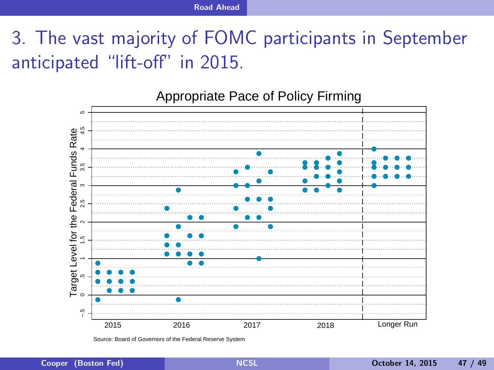## 3. The vast majority of FOMC participants in September anticipated "lift-off" in 2015.



<span id="page-46-0"></span>Source: Board of Governors of the Federal Reserve System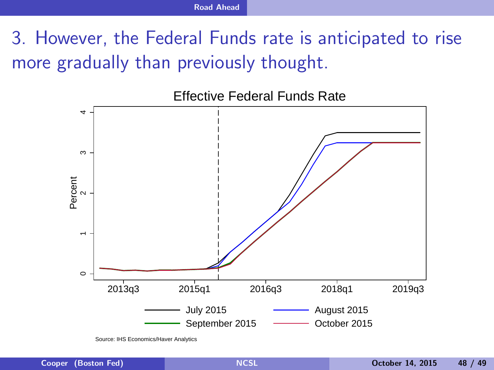# 3. However, the Federal Funds rate is anticipated to rise more gradually than previously thought.



<span id="page-47-0"></span>Source: IHS Economics/Haver Analytics